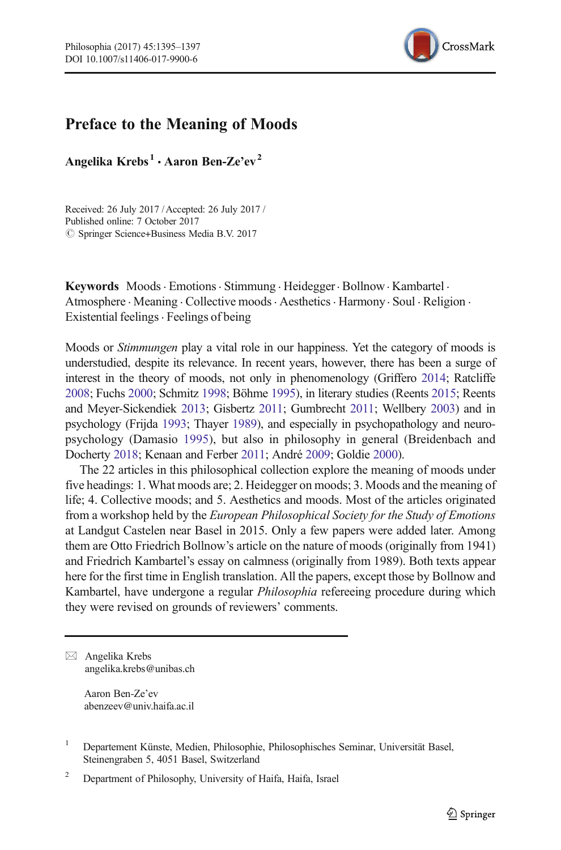

## Preface to the Meaning of Moods

Angelika Krebs<sup>1</sup> · Aaron Ben-Ze'ev<sup>2</sup>

Received: 26 July 2017 /Accepted: 26 July 2017 / Published online: 7 October 2017  $\circledcirc$  Springer Science+Business Media B.V. 2017

Keywords Moods · Emotions · Stimmung · Heidegger · Bollnow · Kambartel · Atmosphere · Meaning · Collective moods · Aesthetics · Harmony · Soul · Religion · Existential feelings. Feelings of being

Moods or Stimmungen play a vital role in our happiness. Yet the category of moods is understudied, despite its relevance. In recent years, however, there has been a surge of interest in the theory of moods, not only in phenomenology (Griffero [2014](#page-2-0); Ratcliffe [2008](#page-2-0); Fuchs [2000;](#page-2-0) Schmitz [1998](#page-2-0); Böhme [1995\)](#page-1-0), in literary studies (Reents [2015](#page-2-0); Reents and Meyer-Sickendiek [2013](#page-2-0); Gisbertz [2011;](#page-2-0) Gumbrecht [2011](#page-2-0); Wellbery [2003\)](#page-2-0) and in psychology (Frijda [1993](#page-2-0); Thayer [1989](#page-2-0)), and especially in psychopathology and neuropsychology (Damasio [1995\)](#page-1-0), but also in philosophy in general (Breidenbach and Docherty [2018](#page-1-0); Kenaan and Ferber [2011;](#page-2-0) André [2009;](#page-1-0) Goldie [2000\)](#page-2-0).

The 22 articles in this philosophical collection explore the meaning of moods under five headings: 1. What moods are; 2. Heidegger on moods; 3. Moods and the meaning of life; 4. Collective moods; and 5. Aesthetics and moods. Most of the articles originated from a workshop held by the European Philosophical Society for the Study of Emotions at Landgut Castelen near Basel in 2015. Only a few papers were added later. Among them are Otto Friedrich Bollnow's article on the nature of moods (originally from 1941) and Friedrich Kambartel's essay on calmness (originally from 1989). Both texts appear here for the first time in English translation. All the papers, except those by Bollnow and Kambartel, have undergone a regular *Philosophia* refereeing procedure during which they were revised on grounds of reviewers' comments.

 $\boxtimes$  Angelika Krebs [angelika.krebs@unibas.ch](mailto:angelika.krebs@unibas.ch)

> Aaron Ben-Ze'ev abenzeev@univ.haifa.ac.il

<sup>&</sup>lt;sup>1</sup> Departement Künste, Medien, Philosophie, Philosophisches Seminar, Universität Basel, Steinengraben 5, 4051 Basel, Switzerland

<sup>&</sup>lt;sup>2</sup> Department of Philosophy, University of Haifa, Haifa, Israel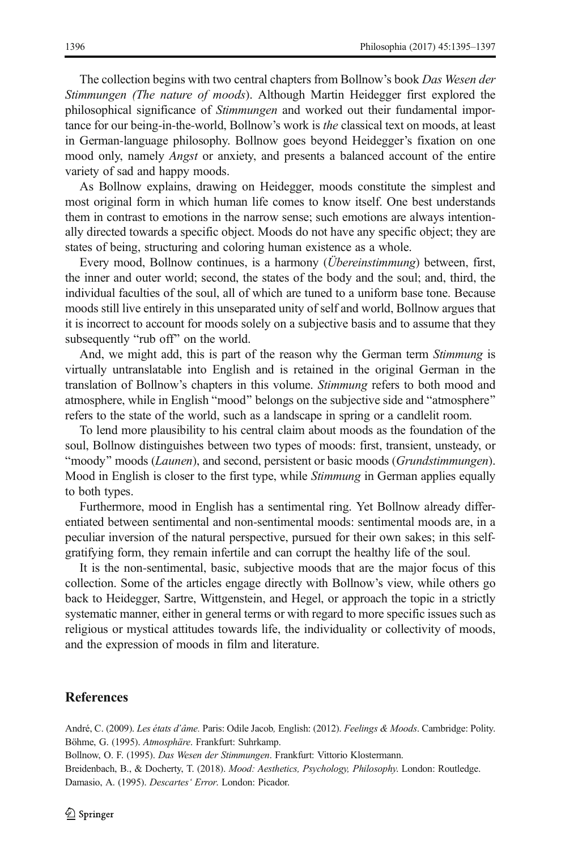<span id="page-1-0"></span>The collection begins with two central chapters from Bollnow's book Das Wesen der Stimmungen (The nature of moods). Although Martin Heidegger first explored the philosophical significance of Stimmungen and worked out their fundamental importance for our being-in-the-world, Bollnow's work is the classical text on moods, at least in German-language philosophy. Bollnow goes beyond Heidegger's fixation on one mood only, namely Angst or anxiety, and presents a balanced account of the entire variety of sad and happy moods.

As Bollnow explains, drawing on Heidegger, moods constitute the simplest and most original form in which human life comes to know itself. One best understands them in contrast to emotions in the narrow sense; such emotions are always intentionally directed towards a specific object. Moods do not have any specific object; they are states of being, structuring and coloring human existence as a whole.

Every mood, Bollnow continues, is a harmony (Übereinstimmung) between, first, the inner and outer world; second, the states of the body and the soul; and, third, the individual faculties of the soul, all of which are tuned to a uniform base tone. Because moods still live entirely in this unseparated unity of self and world, Bollnow argues that it is incorrect to account for moods solely on a subjective basis and to assume that they subsequently "rub off" on the world.

And, we might add, this is part of the reason why the German term Stimmung is virtually untranslatable into English and is retained in the original German in the translation of Bollnow's chapters in this volume. Stimmung refers to both mood and atmosphere, while in English "mood" belongs on the subjective side and "atmosphere" refers to the state of the world, such as a landscape in spring or a candlelit room.

To lend more plausibility to his central claim about moods as the foundation of the soul, Bollnow distinguishes between two types of moods: first, transient, unsteady, or "moody" moods (Launen), and second, persistent or basic moods (Grundstimmungen). Mood in English is closer to the first type, while Stimmung in German applies equally to both types.

Furthermore, mood in English has a sentimental ring. Yet Bollnow already differentiated between sentimental and non-sentimental moods: sentimental moods are, in a peculiar inversion of the natural perspective, pursued for their own sakes; in this selfgratifying form, they remain infertile and can corrupt the healthy life of the soul.

It is the non-sentimental, basic, subjective moods that are the major focus of this collection. Some of the articles engage directly with Bollnow's view, while others go back to Heidegger, Sartre, Wittgenstein, and Hegel, or approach the topic in a strictly systematic manner, either in general terms or with regard to more specific issues such as religious or mystical attitudes towards life, the individuality or collectivity of moods, and the expression of moods in film and literature.

## References

André, C. (2009). Les états d'âme. Paris: Odile Jacob, English: (2012). Feelings & Moods. Cambridge: Polity. Böhme, G. (1995). Atmosphäre. Frankfurt: Suhrkamp.

Bollnow, O. F. (1995). Das Wesen der Stimmungen. Frankfurt: Vittorio Klostermann.

Breidenbach, B., & Docherty, T. (2018). Mood: Aesthetics, Psychology, Philosophy. London: Routledge. Damasio, A. (1995). Descartes' Error. London: Picador.